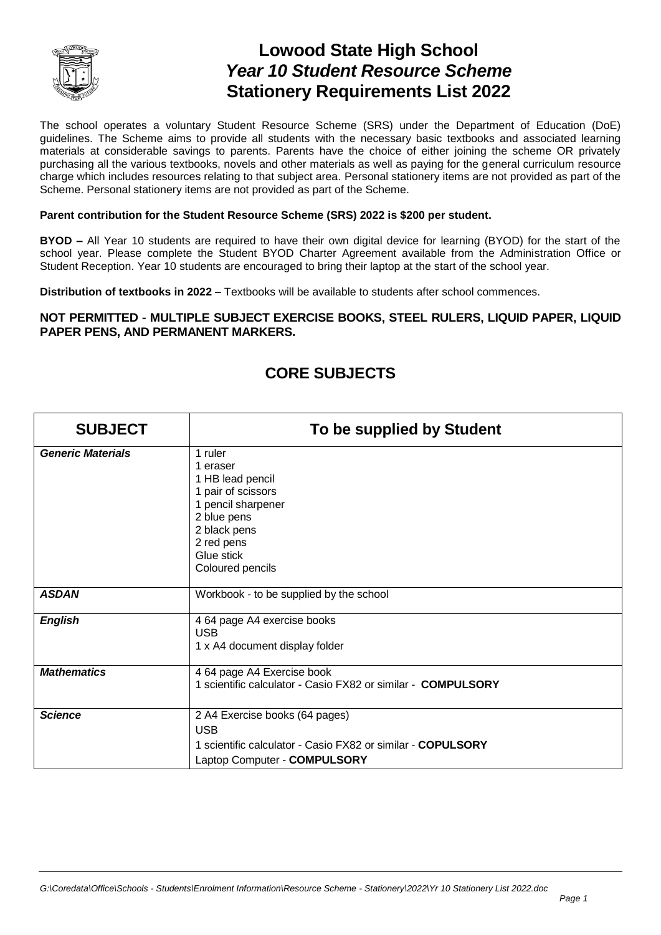

# **Lowood State High School** *Year 10 Student Resource Scheme* **Stationery Requirements List 2022**

The school operates a voluntary Student Resource Scheme (SRS) under the Department of Education (DoE) guidelines. The Scheme aims to provide all students with the necessary basic textbooks and associated learning materials at considerable savings to parents. Parents have the choice of either joining the scheme OR privately purchasing all the various textbooks, novels and other materials as well as paying for the general curriculum resource charge which includes resources relating to that subject area. Personal stationery items are not provided as part of the Scheme. Personal stationery items are not provided as part of the Scheme.

#### **Parent contribution for the Student Resource Scheme (SRS) 2022 is \$200 per student.**

**BYOD –** All Year 10 students are required to have their own digital device for learning (BYOD) for the start of the school year. Please complete the Student BYOD Charter Agreement available from the Administration Office or Student Reception. Year 10 students are encouraged to bring their laptop at the start of the school year.

**Distribution of textbooks in 2022** – Textbooks will be available to students after school commences.

#### **NOT PERMITTED - MULTIPLE SUBJECT EXERCISE BOOKS, STEEL RULERS, LIQUID PAPER, LIQUID PAPER PENS, AND PERMANENT MARKERS.**

| <b>SUBJECT</b>           | To be supplied by Student                                                                                                                                          |
|--------------------------|--------------------------------------------------------------------------------------------------------------------------------------------------------------------|
| <b>Generic Materials</b> | 1 ruler<br>1 eraser<br>1 HB lead pencil<br>1 pair of scissors<br>1 pencil sharpener<br>2 blue pens<br>2 black pens<br>2 red pens<br>Glue stick<br>Coloured pencils |
| <b>ASDAN</b>             | Workbook - to be supplied by the school                                                                                                                            |
| <b>English</b>           | 4 64 page A4 exercise books<br><b>USB</b><br>1 x A4 document display folder                                                                                        |
| <b>Mathematics</b>       | 4 64 page A4 Exercise book<br>1 scientific calculator - Casio FX82 or similar - COMPULSORY                                                                         |
| <b>Science</b>           | 2 A4 Exercise books (64 pages)<br><b>USB</b><br>1 scientific calculator - Casio FX82 or similar - COPULSORY<br>Laptop Computer - COMPULSORY                        |

### **CORE SUBJECTS**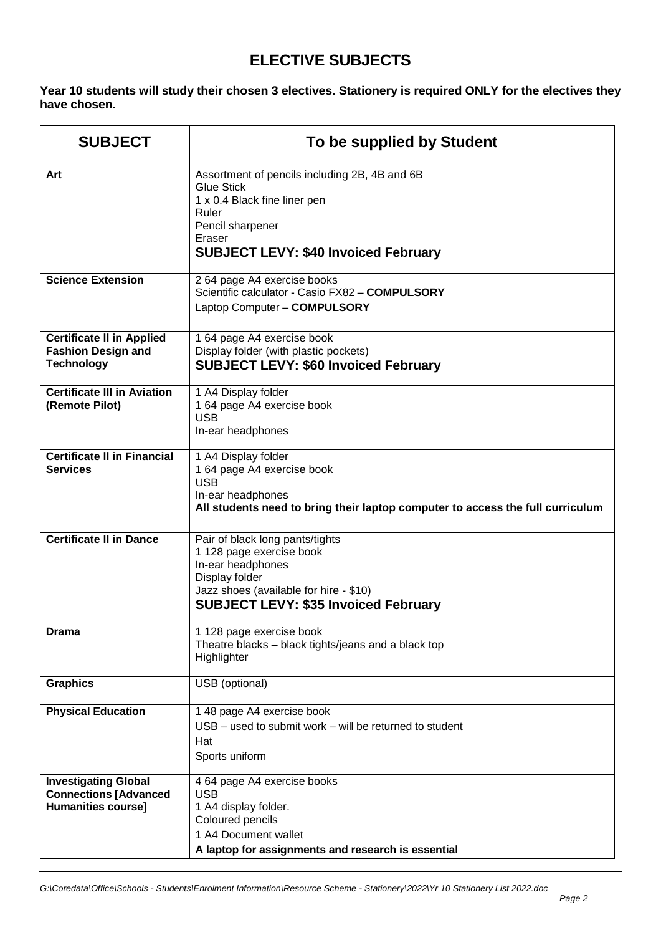## **ELECTIVE SUBJECTS**

**Year 10 students will study their chosen 3 electives. Stationery is required ONLY for the electives they have chosen.**

| <b>SUBJECT</b>                                                                           | To be supplied by Student                                                                                                                                                                   |
|------------------------------------------------------------------------------------------|---------------------------------------------------------------------------------------------------------------------------------------------------------------------------------------------|
| Art                                                                                      | Assortment of pencils including 2B, 4B and 6B<br><b>Glue Stick</b><br>1 x 0.4 Black fine liner pen<br>Ruler<br>Pencil sharpener<br>Eraser<br><b>SUBJECT LEVY: \$40 Invoiced February</b>    |
| <b>Science Extension</b>                                                                 | 2 64 page A4 exercise books<br>Scientific calculator - Casio FX82 - COMPULSORY<br>Laptop Computer - COMPULSORY                                                                              |
| <b>Certificate II in Applied</b><br><b>Fashion Design and</b><br><b>Technology</b>       | 1 64 page A4 exercise book<br>Display folder (with plastic pockets)<br><b>SUBJECT LEVY: \$60 Invoiced February</b>                                                                          |
| <b>Certificate III in Aviation</b><br>(Remote Pilot)                                     | 1 A4 Display folder<br>1 64 page A4 exercise book<br><b>USB</b><br>In-ear headphones                                                                                                        |
| <b>Certificate II in Financial</b><br><b>Services</b>                                    | 1 A4 Display folder<br>1 64 page A4 exercise book<br><b>USB</b><br>In-ear headphones<br>All students need to bring their laptop computer to access the full curriculum                      |
| <b>Certificate II in Dance</b>                                                           | Pair of black long pants/tights<br>1 128 page exercise book<br>In-ear headphones<br>Display folder<br>Jazz shoes (available for hire - \$10)<br><b>SUBJECT LEVY: \$35 Invoiced February</b> |
| <b>Drama</b>                                                                             | 1 128 page exercise book<br>Theatre blacks - black tights/jeans and a black top<br>Highlighter                                                                                              |
| <b>Graphics</b>                                                                          | USB (optional)                                                                                                                                                                              |
| <b>Physical Education</b>                                                                | 1 48 page A4 exercise book<br>USB - used to submit work - will be returned to student<br>Hat<br>Sports uniform                                                                              |
| <b>Investigating Global</b><br><b>Connections [Advanced</b><br><b>Humanities course]</b> | 4 64 page A4 exercise books<br><b>USB</b><br>1 A4 display folder.<br>Coloured pencils<br>1 A4 Document wallet<br>A laptop for assignments and research is essential                         |